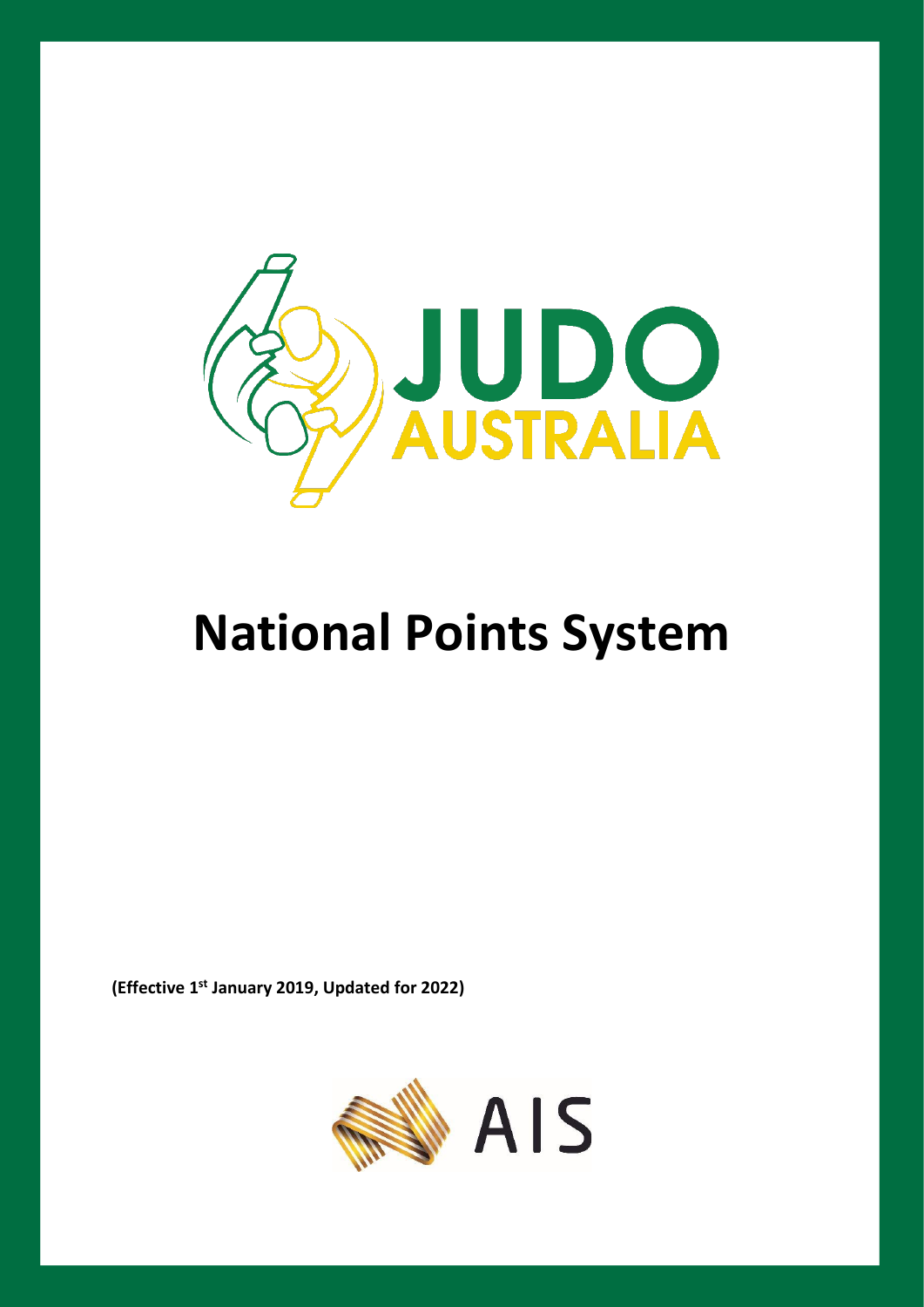

# **National Points System**

**(Effective 1 st January 2019, Updated for 2022)**

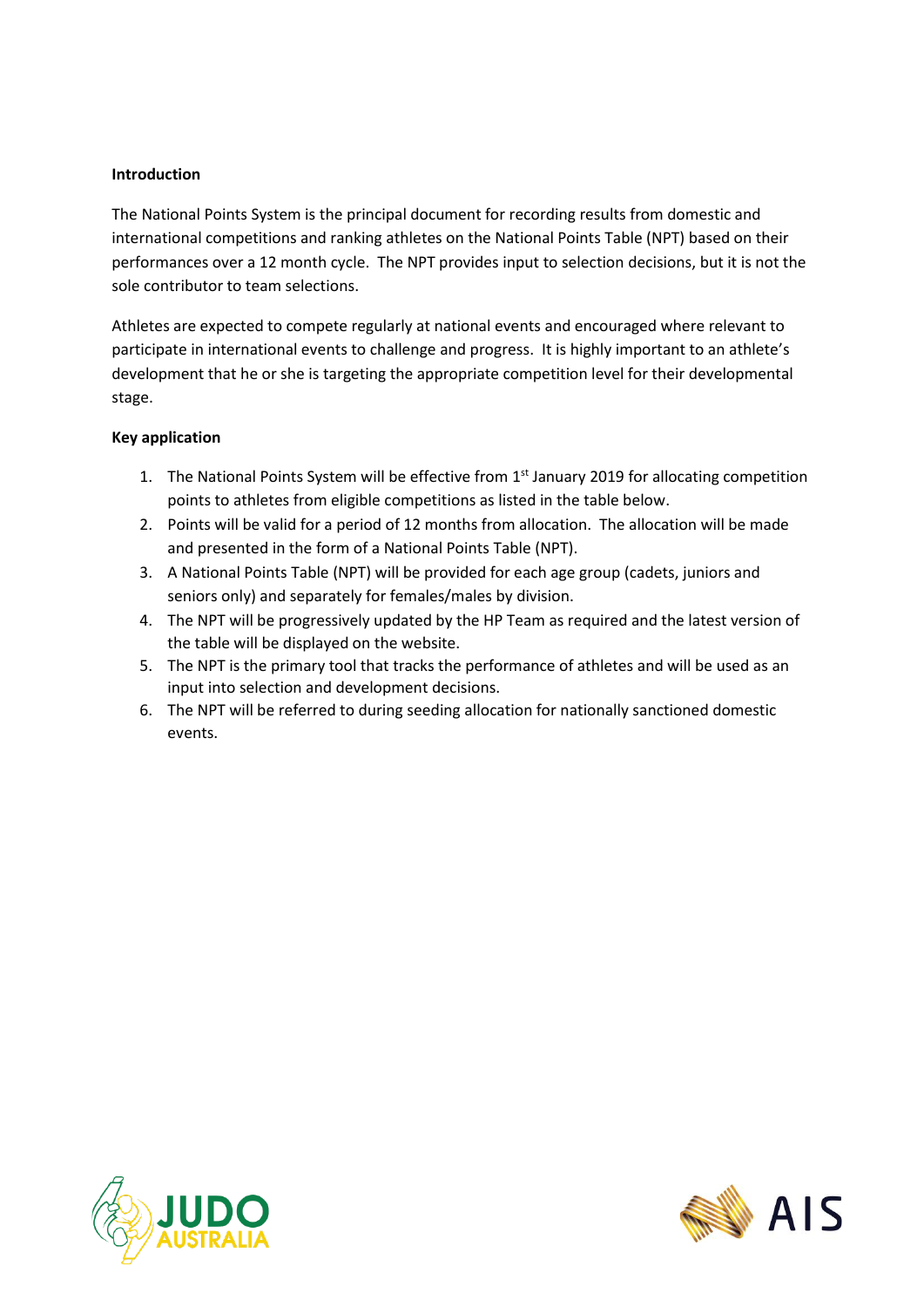## **Introduction**

The National Points System is the principal document for recording results from domestic and international competitions and ranking athletes on the National Points Table (NPT) based on their performances over a 12 month cycle. The NPT provides input to selection decisions, but it is not the sole contributor to team selections.

Athletes are expected to compete regularly at national events and encouraged where relevant to participate in international events to challenge and progress. It is highly important to an athlete's development that he or she is targeting the appropriate competition level for their developmental stage.

### **Key application**

- 1. The National Points System will be effective from 1<sup>st</sup> January 2019 for allocating competition points to athletes from eligible competitions as listed in the table below.
- 2. Points will be valid for a period of 12 months from allocation. The allocation will be made and presented in the form of a National Points Table (NPT).
- 3. A National Points Table (NPT) will be provided for each age group (cadets, juniors and seniors only) and separately for females/males by division.
- 4. The NPT will be progressively updated by the HP Team as required and the latest version of the table will be displayed on the website.
- 5. The NPT is the primary tool that tracks the performance of athletes and will be used as an input into selection and development decisions.
- 6. The NPT will be referred to during seeding allocation for nationally sanctioned domestic events.



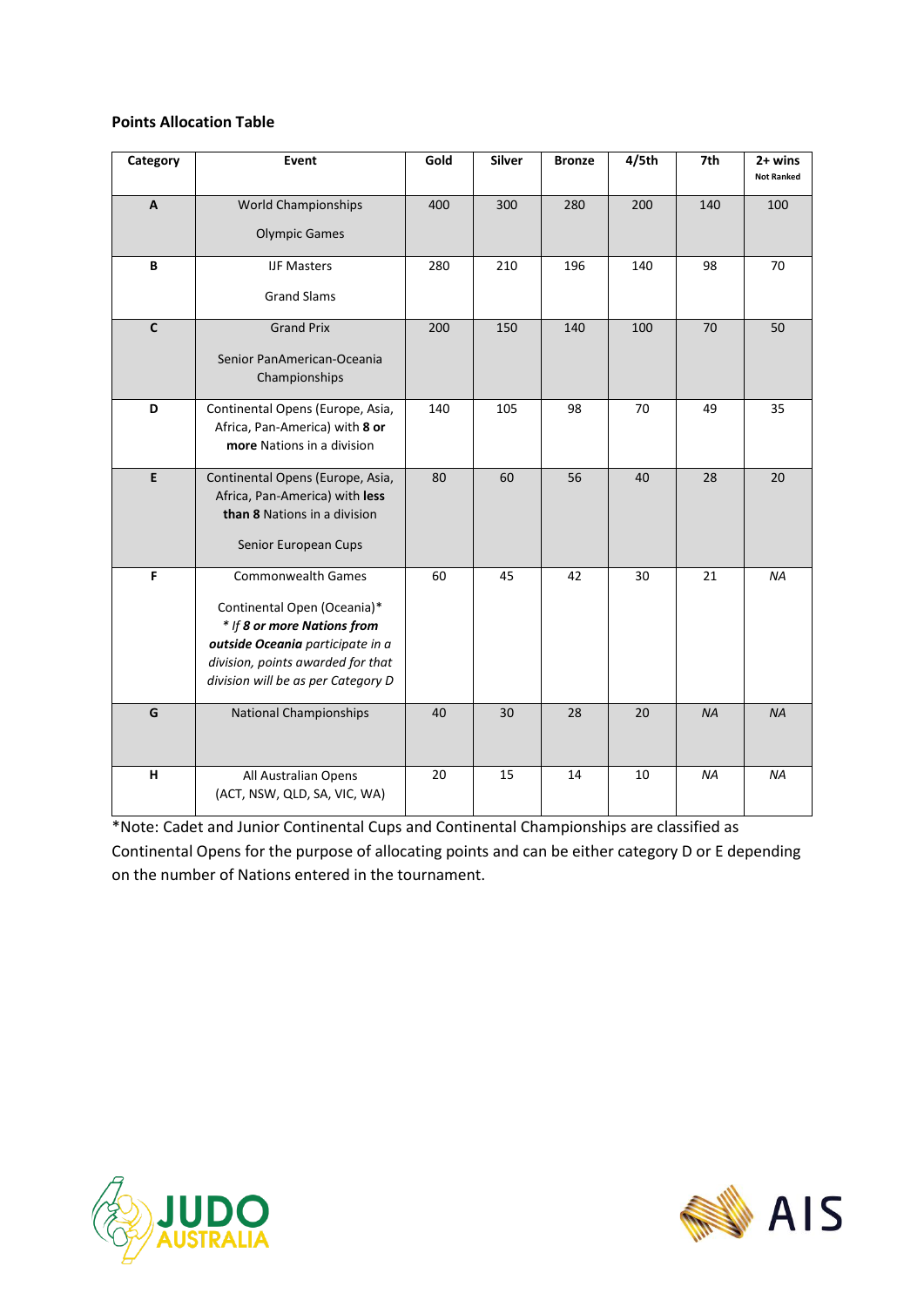#### **Points Allocation Table**

| Category       | <b>Event</b>                                                                                                                                                                                           | Gold | <b>Silver</b> | <b>Bronze</b> | 4/5th | 7th       | $2+$ wins<br><b>Not Ranked</b> |
|----------------|--------------------------------------------------------------------------------------------------------------------------------------------------------------------------------------------------------|------|---------------|---------------|-------|-----------|--------------------------------|
| $\overline{A}$ | <b>World Championships</b><br><b>Olympic Games</b>                                                                                                                                                     | 400  | 300           | 280           | 200   | 140       | 100                            |
| B              | <b>IJF Masters</b><br><b>Grand Slams</b>                                                                                                                                                               | 280  | 210           | 196           | 140   | 98        | 70                             |
| $\mathbf{C}$   | <b>Grand Prix</b><br>Senior PanAmerican-Oceania<br>Championships                                                                                                                                       | 200  | 150           | 140           | 100   | 70        | 50                             |
| D              | Continental Opens (Europe, Asia,<br>Africa, Pan-America) with 8 or<br>more Nations in a division                                                                                                       | 140  | 105           | 98            | 70    | 49        | 35                             |
| E              | Continental Opens (Europe, Asia,<br>Africa, Pan-America) with less<br>than 8 Nations in a division<br>Senior European Cups                                                                             | 80   | 60            | 56            | 40    | 28        | 20                             |
| F              | <b>Commonwealth Games</b><br>Continental Open (Oceania)*<br>* If 8 or more Nations from<br>outside Oceania participate in a<br>division, points awarded for that<br>division will be as per Category D | 60   | 45            | 42            | 30    | 21        | <b>NA</b>                      |
| G              | <b>National Championships</b>                                                                                                                                                                          | 40   | 30            | 28            | 20    | <b>NA</b> | <b>NA</b>                      |
| н              | All Australian Opens<br>(ACT, NSW, QLD, SA, VIC, WA)                                                                                                                                                   | 20   | 15            | 14            | 10    | <b>NA</b> | ΝA                             |

\*Note: Cadet and Junior Continental Cups and Continental Championships are classified as Continental Opens for the purpose of allocating points and can be either category D or E depending on the number of Nations entered in the tournament.